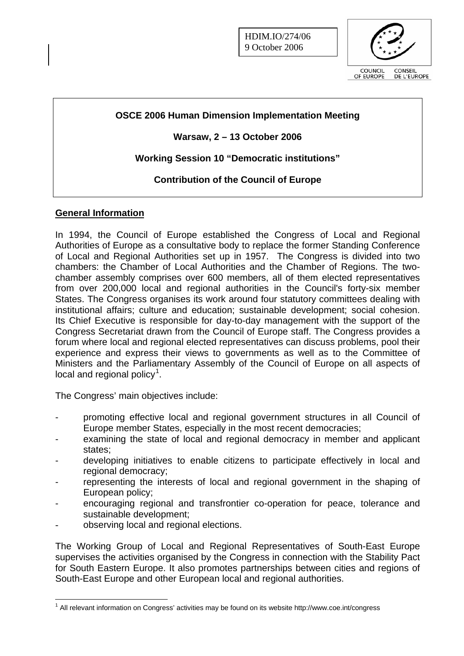

# **OSCE 2006 Human Dimension Implementation Meeting**

# **Warsaw, 2 – 13 October 2006**

# **Working Session 10 "Democratic institutions"**

# **Contribution of the Council of Europe**

### **General Information**

In 1994, the Council of Europe established the Congress of Local and Regional Authorities of Europe as a consultative body to replace the former Standing Conference of Local and Regional Authorities set up in 1957. The Congress is divided into two chambers: the Chamber of Local Authorities and the Chamber of Regions. The twochamber assembly comprises over 600 members, all of them elected representatives from over 200,000 local and regional authorities in the Council's forty-six member States. The Congress organises its work around four statutory committees dealing with institutional affairs; culture and education; sustainable development; social cohesion. Its Chief Executive is responsible for day-to-day management with the support of the Congress Secretariat drawn from the Council of Europe staff. The Congress provides a forum where local and regional elected representatives can discuss problems, pool their experience and express their views to governments as well as to the Committee of Ministers and the Parliamentary Assembly of the Council of Europe on all aspects of local and regional policy $^1$  $^1$ .

The Congress' main objectives include:

- promoting effective local and regional government structures in all Council of Europe member States, especially in the most recent democracies;
- examining the state of local and regional democracy in member and applicant states;
- developing initiatives to enable citizens to participate effectively in local and regional democracy;
- representing the interests of local and regional government in the shaping of European policy;
- encouraging regional and transfrontier co-operation for peace, tolerance and sustainable development;
- observing local and regional elections.

 $\overline{a}$ 

The Working Group of Local and Regional Representatives of South-East Europe supervises the activities organised by the Congress in connection with the Stability Pact for South Eastern Europe. It also promotes partnerships between cities and regions of South-East Europe and other European local and regional authorities.

<span id="page-0-0"></span><sup>&</sup>lt;sup>1</sup> All relevant information on Congress' activities may be found on its website http://www.coe.int/congress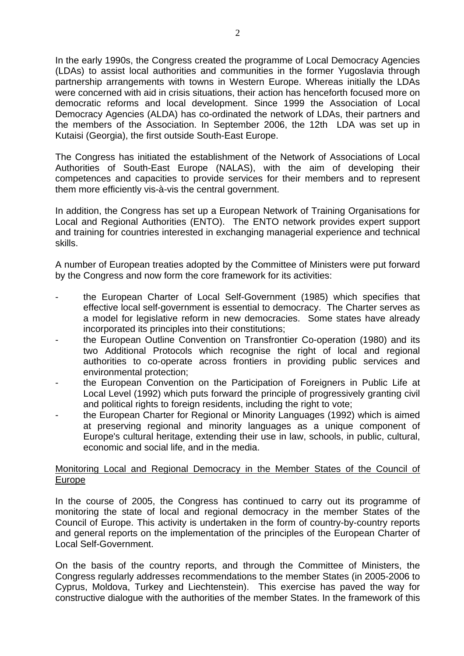In the early 1990s, the Congress created the programme of Local Democracy Agencies (LDAs) to assist local authorities and communities in the former Yugoslavia through partnership arrangements with towns in Western Europe. Whereas initially the LDAs were concerned with aid in crisis situations, their action has henceforth focused more on democratic reforms and local development. Since 1999 the Association of Local Democracy Agencies (ALDA) has co-ordinated the network of LDAs, their partners and the members of the Association. In September 2006, the 12th LDA was set up in Kutaisi (Georgia), the first outside South-East Europe.

The Congress has initiated the establishment of the Network of Associations of Local Authorities of South-East Europe (NALAS), with the aim of developing their competences and capacities to provide services for their members and to represent them more efficiently vis-à-vis the central government.

In addition, the Congress has set up a European Network of Training Organisations for Local and Regional Authorities (ENTO). The ENTO network provides expert support and training for countries interested in exchanging managerial experience and technical skills.

A number of European treaties adopted by the Committee of Ministers were put forward by the Congress and now form the core framework for its activities:

- the European Charter of Local Self-Government (1985) which specifies that effective local self-government is essential to democracy. The Charter serves as a model for legislative reform in new democracies. Some states have already incorporated its principles into their constitutions;
- the European Outline Convention on Transfrontier Co-operation (1980) and its two Additional Protocols which recognise the right of local and regional authorities to co-operate across frontiers in providing public services and environmental protection;
- the European Convention on the Participation of Foreigners in Public Life at Local Level (1992) which puts forward the principle of progressively granting civil and political rights to foreign residents, including the right to vote;
- the European Charter for Regional or Minority Languages (1992) which is aimed at preserving regional and minority languages as a unique component of Europe's cultural heritage, extending their use in law, schools, in public, cultural, economic and social life, and in the media.

### Monitoring Local and Regional Democracy in the Member States of the Council of Europe

In the course of 2005, the Congress has continued to carry out its programme of monitoring the state of local and regional democracy in the member States of the Council of Europe. This activity is undertaken in the form of country-by-country reports and general reports on the implementation of the principles of the European Charter of Local Self-Government.

On the basis of the country reports, and through the Committee of Ministers, the Congress regularly addresses recommendations to the member States (in 2005-2006 to Cyprus, Moldova, Turkey and Liechtenstein). This exercise has paved the way for constructive dialogue with the authorities of the member States. In the framework of this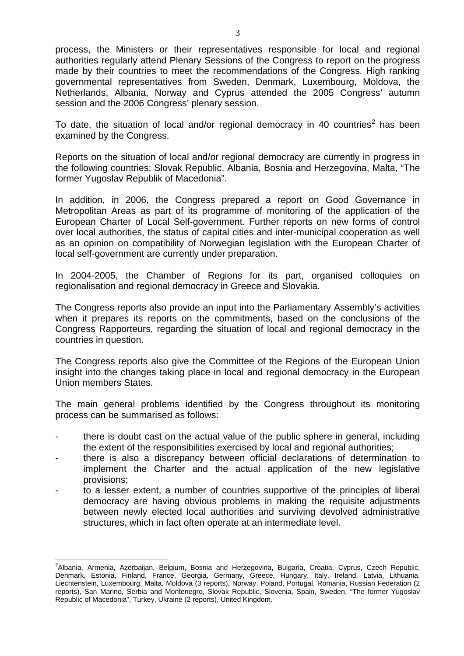process, the Ministers or their representatives responsible for local and regional authorities regularly attend Plenary Sessions of the Congress to report on the progress made by their countries to meet the recommendations of the Congress. High ranking governmental representatives from Sweden, Denmark, Luxembourg, Moldova, the Netherlands, Albania, Norway and Cyprus attended the 2005 Congress' autumn session and the 2006 Congress' plenary session.

To date, the situation of local and/or regional democracy in 40 countries<sup>[2](#page-2-0)</sup> has been examined by the Congress.

Reports on the situation of local and/or regional democracy are currently in progress in the following countries: Slovak Republic, Albania, Bosnia and Herzegovina, Malta, "The former Yugoslav Republik of Macedonia".

In addition, in 2006, the Congress prepared a report on Good Governance in Metropolitan Areas as part of its programme of monitoring of the application of the European Charter of Local Self-government. Further reports on new forms of control over local authorities, the status of capital cities and inter-municipal cooperation as well as an opinion on compatibility of Norwegian legislation with the European Charter of local self-government are currently under preparation.

In 2004-2005, the Chamber of Regions for its part, organised colloquies on regionalisation and regional democracy in Greece and Slovakia.

The Congress reports also provide an input into the Parliamentary Assembly's activities when it prepares its reports on the commitments, based on the conclusions of the Congress Rapporteurs, regarding the situation of local and regional democracy in the countries in question.

The Congress reports also give the Committee of the Regions of the European Union insight into the changes taking place in local and regional democracy in the European Union members States.

The main general problems identified by the Congress throughout its monitoring process can be summarised as follows:

- there is doubt cast on the actual value of the public sphere in general, including the extent of the responsibilities exercised by local and regional authorities;
- there is also a discrepancy between official declarations of determination to implement the Charter and the actual application of the new legislative provisions;
- to a lesser extent, a number of countries supportive of the principles of liberal democracy are having obvious problems in making the requisite adjustments between newly elected local authorities and surviving devolved administrative structures, which in fact often operate at an intermediate level.

 $\overline{a}$ 

<span id="page-2-0"></span><sup>&</sup>lt;sup>2</sup>Albania, Armenia, Azerbaijan, Belgium, Bosnia and Herzegovina, Bulgaria, Croatia, Cyprus, Czech Republic, Denmark, Estonia, Finland, France, Georgia, Germany, Greece, Hungary, Italy, Ireland, Latvia, Lithuania, Liechtenstein, Luxembourg, Malta, Moldova (3 reports), Norway, Poland, Portugal, Romania, Russian Federation (2 reports), San Marino, Serbia and Montenegro, Slovak Republic, Slovenia, Spain, Sweden, "The former Yugoslav Republic of Macedonia", Turkey, Ukraine (2 reports), United Kingdom.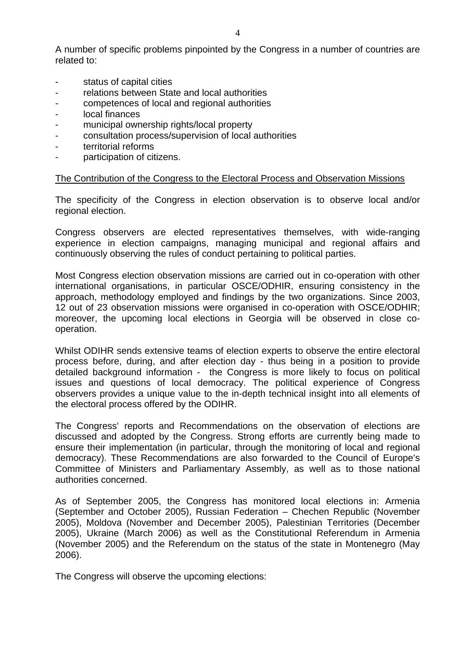A number of specific problems pinpointed by the Congress in a number of countries are related to:

- status of capital cities
- relations between State and local authorities
- competences of local and regional authorities
- local finances
- municipal ownership rights/local property
- consultation process/supervision of local authorities
- territorial reforms
- participation of citizens.

### The Contribution of the Congress to the Electoral Process and Observation Missions

The specificity of the Congress in election observation is to observe local and/or regional election.

Congress observers are elected representatives themselves, with wide-ranging experience in election campaigns, managing municipal and regional affairs and continuously observing the rules of conduct pertaining to political parties.

Most Congress election observation missions are carried out in co-operation with other international organisations, in particular OSCE/ODHIR, ensuring consistency in the approach, methodology employed and findings by the two organizations. Since 2003, 12 out of 23 observation missions were organised in co-operation with OSCE/ODHIR; moreover, the upcoming local elections in Georgia will be observed in close cooperation.

Whilst ODIHR sends extensive teams of election experts to observe the entire electoral process before, during, and after election day - thus being in a position to provide detailed background information - the Congress is more likely to focus on political issues and questions of local democracy. The political experience of Congress observers provides a unique value to the in-depth technical insight into all elements of the electoral process offered by the ODIHR.

The Congress' reports and Recommendations on the observation of elections are discussed and adopted by the Congress. Strong efforts are currently being made to ensure their implementation (in particular, through the monitoring of local and regional democracy). These Recommendations are also forwarded to the Council of Europe's Committee of Ministers and Parliamentary Assembly, as well as to those national authorities concerned.

As of September 2005, the Congress has monitored local elections in: Armenia (September and October 2005), Russian Federation – Chechen Republic (November 2005), Moldova (November and December 2005), Palestinian Territories (December 2005), Ukraine (March 2006) as well as the Constitutional Referendum in Armenia (November 2005) and the Referendum on the status of the state in Montenegro (May 2006).

The Congress will observe the upcoming elections: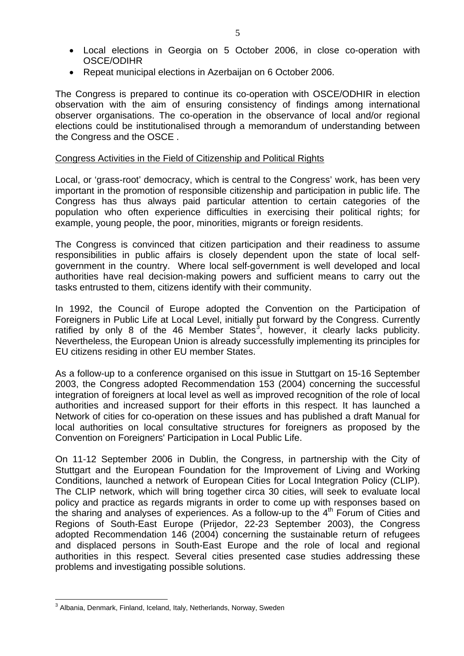- Local elections in Georgia on 5 October 2006, in close co-operation with OSCE/ODIHR
- Repeat municipal elections in Azerbaijan on 6 October 2006.

The Congress is prepared to continue its co-operation with OSCE/ODHIR in election observation with the aim of ensuring consistency of findings among international observer organisations. The co-operation in the observance of local and/or regional elections could be institutionalised through a memorandum of understanding between the Congress and the OSCE .

#### Congress Activities in the Field of Citizenship and Political Rights

Local, or 'grass-root' democracy, which is central to the Congress' work, has been very important in the promotion of responsible citizenship and participation in public life. The Congress has thus always paid particular attention to certain categories of the population who often experience difficulties in exercising their political rights; for example, young people, the poor, minorities, migrants or foreign residents.

The Congress is convinced that citizen participation and their readiness to assume responsibilities in public affairs is closely dependent upon the state of local selfgovernment in the country. Where local self-government is well developed and local authorities have real decision-making powers and sufficient means to carry out the tasks entrusted to them, citizens identify with their community.

In 1992, the Council of Europe adopted the Convention on the Participation of Foreigners in Public Life at Local Level, initially put forward by the Congress. Currently ratified by only 8 of the 46 Member States<sup>[3](#page-4-0)</sup>, however, it clearly lacks publicity. Nevertheless, the European Union is already successfully implementing its principles for EU citizens residing in other EU member States.

As a follow-up to a conference organised on this issue in Stuttgart on 15-16 September 2003, the Congress adopted Recommendation 153 (2004) concerning the successful integration of foreigners at local level as well as improved recognition of the role of local authorities and increased support for their efforts in this respect. It has launched a Network of cities for co-operation on these issues and has published a draft Manual for local authorities on local consultative structures for foreigners as proposed by the Convention on Foreigners' Participation in Local Public Life.

On 11-12 September 2006 in Dublin, the Congress, in partnership with the City of Stuttgart and the European Foundation for the Improvement of Living and Working Conditions, launched a network of European Cities for Local Integration Policy (CLIP). The CLIP network, which will bring together circa 30 cities, will seek to evaluate local policy and practice as regards migrants in order to come up with responses based on the sharing and analyses of experiences. As a follow-up to the  $4<sup>th</sup>$  Forum of Cities and Regions of South-East Europe (Prijedor, 22-23 September 2003), the Congress adopted Recommendation 146 (2004) concerning the sustainable return of refugees and displaced persons in South-East Europe and the role of local and regional authorities in this respect. Several cities presented case studies addressing these problems and investigating possible solutions.

<span id="page-4-0"></span> $\overline{a}$  $3$  Albania, Denmark, Finland, Iceland, Italy, Netherlands, Norway, Sweden